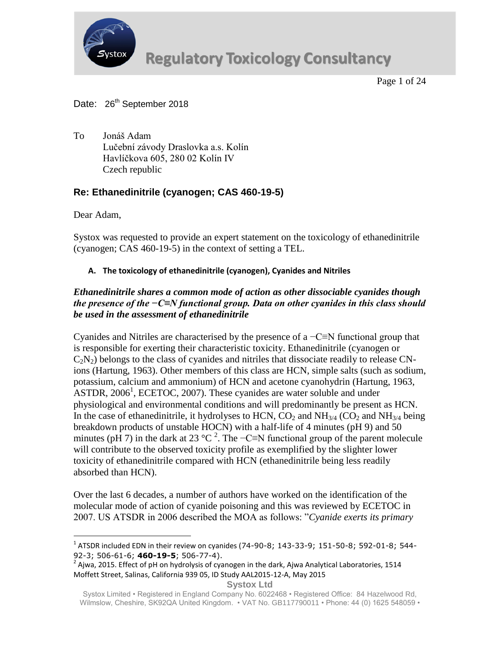

Page 1 of 24

# Date: 26<sup>th</sup> September 2018

To Jonáš Adam Lučební závody Draslovka a.s. Kolín Havlíčkova 605, 280 02 Kolín IV Czech republic

# **Re: Ethanedinitrile (cyanogen; CAS 460-19-5)**

Dear Adam,

 $\overline{a}$ 

Systox was requested to provide an expert statement on the toxicology of ethanedinitrile (cyanogen; CAS 460-19-5) in the context of setting a TEL.

# **A. The toxicology of ethanedinitrile (cyanogen), Cyanides and Nitriles**

# *Ethanedinitrile shares a common mode of action as other dissociable cyanides though the presence of the −C≡N functional group. Data on other cyanides in this class should be used in the assessment of ethanedinitrile*

Cyanides and Nitriles are characterised by the presence of a −C≡N functional group that is responsible for exerting their characteristic toxicity. Ethanedinitrile (cyanogen or  $C_2N_2$ ) belongs to the class of cyanides and nitriles that dissociate readily to release CNions (Hartung, 1963). Other members of this class are HCN, simple salts (such as sodium, potassium, calcium and ammonium) of HCN and acetone cyanohydrin (Hartung, 1963, ASTDR, 2006<sup>1</sup>, ECETOC, 2007). These cyanides are water soluble and under physiological and environmental conditions and will predominantly be present as HCN. In the case of ethanedinitrile, it hydrolyses to HCN,  $CO_2$  and NH<sub>3/4</sub> (CO<sub>2</sub> and NH<sub>3/4</sub> being breakdown products of unstable HOCN) with a half-life of 4 minutes (pH 9) and 50 minutes (pH 7) in the dark at 23 °C<sup>2</sup>. The -C≡N functional group of the parent molecule will contribute to the observed toxicity profile as exemplified by the slighter lower toxicity of ethanedinitrile compared with HCN (ethanedinitrile being less readily absorbed than HCN).

Over the last 6 decades, a number of authors have worked on the identification of the molecular mode of action of cyanide poisoning and this was reviewed by ECETOC in 2007. US ATSDR in 2006 described the MOA as follows: "*Cyanide exerts its primary* 

 $^{1}$  ATSDR included EDN in their review on cyanides (74-90-8; 143-33-9; 151-50-8; 592-01-8; 544-92-3; 506-61-6; **460-19-5**; 506-77-4).

<sup>2</sup> Ajwa, 2015. Effect of pH on hydrolysis of cyanogen in the dark, Ajwa Analytical Laboratories, 1514 Moffett Street, Salinas, California 939 05, ID Study AAL2015-12-A, May 2015

Systox Limited • Registered in England Company No. 6022468 • Registered Office: 84 Hazelwood Rd, Wilmslow, Cheshire, SK92QA United Kingdom. • VAT No. GB117790011 • Phone: 44 (0) 1625 548059 •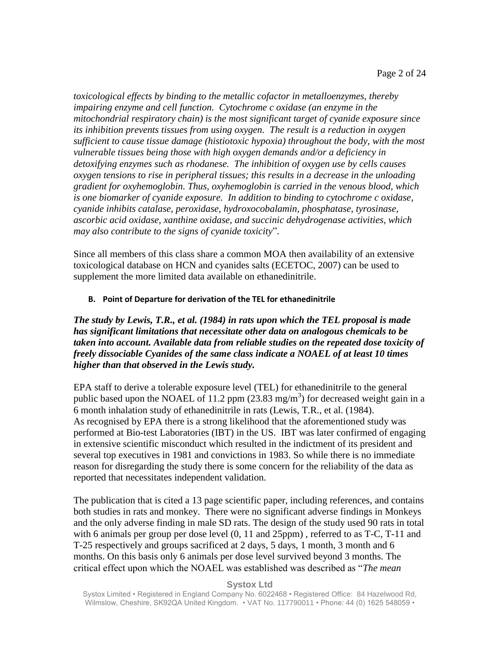*toxicological effects by binding to the metallic cofactor in metalloenzymes, thereby impairing enzyme and cell function. Cytochrome c oxidase (an enzyme in the mitochondrial respiratory chain) is the most significant target of cyanide exposure since its inhibition prevents tissues from using oxygen. The result is a reduction in oxygen sufficient to cause tissue damage (histiotoxic hypoxia) throughout the body, with the most vulnerable tissues being those with high oxygen demands and/or a deficiency in detoxifying enzymes such as rhodanese. The inhibition of oxygen use by cells causes oxygen tensions to rise in peripheral tissues; this results in a decrease in the unloading gradient for oxyhemoglobin. Thus, oxyhemoglobin is carried in the venous blood, which is one biomarker of cyanide exposure. In addition to binding to cytochrome c oxidase, cyanide inhibits catalase, peroxidase, hydroxocobalamin, phosphatase, tyrosinase, ascorbic acid oxidase, xanthine oxidase, and succinic dehydrogenase activities, which may also contribute to the signs of cyanide toxicity*".

Since all members of this class share a common MOA then availability of an extensive toxicological database on HCN and cyanides salts (ECETOC, 2007) can be used to supplement the more limited data available on ethanedinitrile.

## **B. Point of Departure for derivation of the TEL for ethanedinitrile**

*The study by Lewis, T.R., et al. (1984) in rats upon which the TEL proposal is made has significant limitations that necessitate other data on analogous chemicals to be taken into account. Available data from reliable studies on the repeated dose toxicity of freely dissociable Cyanides of the same class indicate a NOAEL of at least 10 times higher than that observed in the Lewis study.*

EPA staff to derive a tolerable exposure level (TEL) for ethanedinitrile to the general public based upon the NOAEL of 11.2 ppm  $(23.83 \text{ mg/m}^3)$  for decreased weight gain in a 6 month inhalation study of ethanedinitrile in rats (Lewis, T.R., et al. (1984). As recognised by EPA there is a strong likelihood that the aforementioned study was performed at Bio-test Laboratories (IBT) in the US. IBT was later confirmed of engaging in extensive scientific misconduct which resulted in the indictment of its president and several top executives in 1981 and convictions in 1983. So while there is no immediate reason for disregarding the study there is some concern for the reliability of the data as reported that necessitates independent validation.

The publication that is cited a 13 page scientific paper, including references, and contains both studies in rats and monkey. There were no significant adverse findings in Monkeys and the only adverse finding in male SD rats. The design of the study used 90 rats in total with 6 animals per group per dose level  $(0, 11$  and  $25$ ppm), referred to as T-C, T-11 and T-25 respectively and groups sacrificed at 2 days, 5 days, 1 month, 3 month and 6 months. On this basis only 6 animals per dose level survived beyond 3 months. The critical effect upon which the NOAEL was established was described as "*The mean*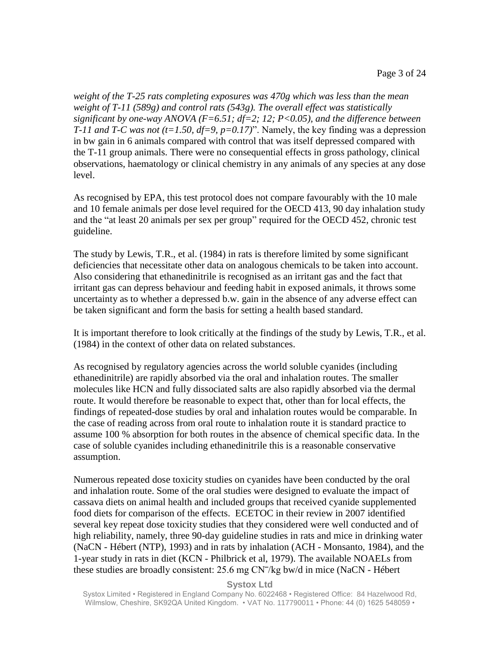*weight of the T-25 rats completing exposures was 470g which was less than the mean weight of T-11 (589g) and control rats (543g). The overall effect was statistically significant by one-way ANOVA (F=6.51; df=2; 12; P<0.05), and the difference between T-11 and T-C was not (t=1.50, df=9, p=0.17)*". Namely, the key finding was a depression in bw gain in 6 animals compared with control that was itself depressed compared with the T-11 group animals. There were no consequential effects in gross pathology, clinical observations, haematology or clinical chemistry in any animals of any species at any dose level.

As recognised by EPA, this test protocol does not compare favourably with the 10 male and 10 female animals per dose level required for the OECD 413, 90 day inhalation study and the "at least 20 animals per sex per group" required for the OECD 452, chronic test guideline.

The study by Lewis, T.R., et al. (1984) in rats is therefore limited by some significant deficiencies that necessitate other data on analogous chemicals to be taken into account. Also considering that ethanedinitrile is recognised as an irritant gas and the fact that irritant gas can depress behaviour and feeding habit in exposed animals, it throws some uncertainty as to whether a depressed b.w. gain in the absence of any adverse effect can be taken significant and form the basis for setting a health based standard.

It is important therefore to look critically at the findings of the study by Lewis, T.R., et al. (1984) in the context of other data on related substances.

As recognised by regulatory agencies across the world soluble cyanides (including ethanedinitrile) are rapidly absorbed via the oral and inhalation routes. The smaller molecules like HCN and fully dissociated salts are also rapidly absorbed via the dermal route. It would therefore be reasonable to expect that, other than for local effects, the findings of repeated-dose studies by oral and inhalation routes would be comparable. In the case of reading across from oral route to inhalation route it is standard practice to assume 100 % absorption for both routes in the absence of chemical specific data. In the case of soluble cyanides including ethanedinitrile this is a reasonable conservative assumption.

Numerous repeated dose toxicity studies on cyanides have been conducted by the oral and inhalation route. Some of the oral studies were designed to evaluate the impact of cassava diets on animal health and included groups that received cyanide supplemented food diets for comparison of the effects. ECETOC in their review in 2007 identified several key repeat dose toxicity studies that they considered were well conducted and of high reliability, namely, three 90-day guideline studies in rats and mice in drinking water (NaCN - Hébert (NTP), 1993) and in rats by inhalation (ACH - Monsanto, 1984), and the 1-year study in rats in diet (KCN - Philbrick et al, 1979). The available NOAELs from these studies are broadly consistent: 25.6 mg CN<sup>-</sup>/kg bw/d in mice (NaCN - Hébert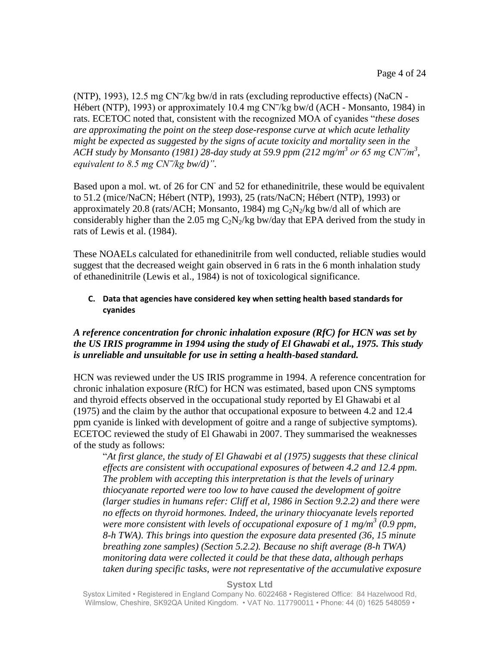(NTP), 1993), 12.5 mg  $CN^{-}/kg$  bw/d in rats (excluding reproductive effects) (NaCN -Hébert (NTP), 1993) or approximately 10.4 mg CN<sup>-</sup>/kg bw/d (ACH - Monsanto, 1984) in rats. ECETOC noted that, consistent with the recognized MOA of cyanides "*these doses are approximating the point on the steep dose-response curve at which acute lethality might be expected as suggested by the signs of acute toxicity and mortality seen in the ACH study by Monsanto (1981)* 28-day study at 59.9 ppm (212 mg/m<sup>3</sup> or 65 mg CN<sup>-/m<sup>3</sup>,</sup> *equivalent to 8.5 mg CN‾/kg bw/d)".*

Based upon a mol. wt. of 26 for CN<sup>-</sup> and 52 for ethanedinitrile, these would be equivalent to 51.2 (mice/NaCN; Hébert (NTP), 1993), 25 (rats/NaCN; Hébert (NTP), 1993) or approximately 20.8 (rats/ACH; Monsanto, 1984) mg  $C_2N_2/kg$  bw/d all of which are considerably higher than the 2.05 mg  $C_2N_2/kg$  bw/day that EPA derived from the study in rats of Lewis et al. (1984).

These NOAELs calculated for ethanedinitrile from well conducted, reliable studies would suggest that the decreased weight gain observed in 6 rats in the 6 month inhalation study of ethanedinitrile (Lewis et al., 1984) is not of toxicological significance.

## **C. Data that agencies have considered key when setting health based standards for cyanides**

# *A reference concentration for chronic inhalation exposure (RfC) for HCN was set by the US IRIS programme in 1994 using the study of El Ghawabi et al., 1975. This study is unreliable and unsuitable for use in setting a health-based standard.*

HCN was reviewed under the US IRIS programme in 1994. A reference concentration for chronic inhalation exposure (RfC) for HCN was estimated, based upon CNS symptoms and thyroid effects observed in the occupational study reported by El Ghawabi et al (1975) and the claim by the author that occupational exposure to between 4.2 and 12.4 ppm cyanide is linked with development of goitre and a range of subjective symptoms). ECETOC reviewed the study of El Ghawabi in 2007. They summarised the weaknesses of the study as follows:

"*At first glance, the study of El Ghawabi et al (1975) suggests that these clinical effects are consistent with occupational exposures of between 4.2 and 12.4 ppm. The problem with accepting this interpretation is that the levels of urinary thiocyanate reported were too low to have caused the development of goitre (larger studies in humans refer: Cliff et al, 1986 in Section 9.2.2) and there were no effects on thyroid hormones. Indeed, the urinary thiocyanate levels reported were more consistent with levels of occupational exposure of 1 mg/m<sup>3</sup> (0.9 ppm, 8-h TWA). This brings into question the exposure data presented (36, 15 minute breathing zone samples) (Section 5.2.2). Because no shift average (8-h TWA) monitoring data were collected it could be that these data, although perhaps taken during specific tasks, were not representative of the accumulative exposure* 

## **Systox Ltd**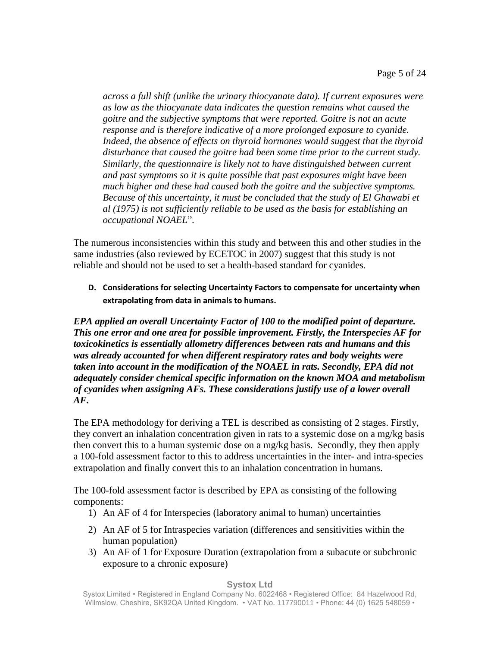*across a full shift (unlike the urinary thiocyanate data). If current exposures were as low as the thiocyanate data indicates the question remains what caused the goitre and the subjective symptoms that were reported. Goitre is not an acute response and is therefore indicative of a more prolonged exposure to cyanide. Indeed, the absence of effects on thyroid hormones would suggest that the thyroid disturbance that caused the goitre had been some time prior to the current study. Similarly, the questionnaire is likely not to have distinguished between current and past symptoms so it is quite possible that past exposures might have been much higher and these had caused both the goitre and the subjective symptoms. Because of this uncertainty, it must be concluded that the study of El Ghawabi et al (1975) is not sufficiently reliable to be used as the basis for establishing an occupational NOAEL*".

The numerous inconsistencies within this study and between this and other studies in the same industries (also reviewed by ECETOC in 2007) suggest that this study is not reliable and should not be used to set a health-based standard for cyanides.

**D. Considerations for selecting Uncertainty Factors to compensate for uncertainty when extrapolating from data in animals to humans.**

*EPA applied an overall Uncertainty Factor of 100 to the modified point of departure. This one error and one area for possible improvement. Firstly, the Interspecies AF for toxicokinetics is essentially allometry differences between rats and humans and this was already accounted for when different respiratory rates and body weights were taken into account in the modification of the NOAEL in rats. Secondly, EPA did not adequately consider chemical specific information on the known MOA and metabolism of cyanides when assigning AFs. These considerations justify use of a lower overall AF.*

The EPA methodology for deriving a TEL is described as consisting of 2 stages. Firstly, they convert an inhalation concentration given in rats to a systemic dose on a mg/kg basis then convert this to a human systemic dose on a mg/kg basis. Secondly, they then apply a 100-fold assessment factor to this to address uncertainties in the inter- and intra-species extrapolation and finally convert this to an inhalation concentration in humans.

The 100-fold assessment factor is described by EPA as consisting of the following components:

- 1) An AF of 4 for Interspecies (laboratory animal to human) uncertainties
- 2) An AF of 5 for Intraspecies variation (differences and sensitivities within the human population)
- 3) An AF of 1 for Exposure Duration (extrapolation from a subacute or subchronic exposure to a chronic exposure)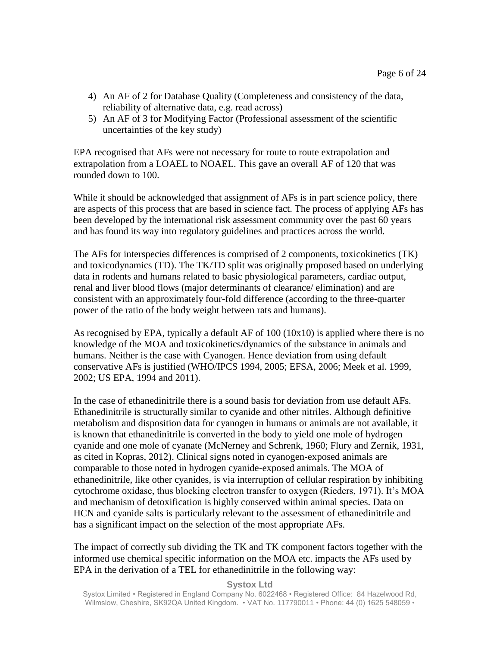- 4) An AF of 2 for Database Quality (Completeness and consistency of the data, reliability of alternative data, e.g. read across)
- 5) An AF of 3 for Modifying Factor (Professional assessment of the scientific uncertainties of the key study)

EPA recognised that AFs were not necessary for route to route extrapolation and extrapolation from a LOAEL to NOAEL. This gave an overall AF of 120 that was rounded down to 100.

While it should be acknowledged that assignment of AFs is in part science policy, there are aspects of this process that are based in science fact. The process of applying AFs has been developed by the international risk assessment community over the past 60 years and has found its way into regulatory guidelines and practices across the world.

The AFs for interspecies differences is comprised of 2 components, toxicokinetics (TK) and toxicodynamics (TD). The TK/TD split was originally proposed based on underlying data in rodents and humans related to basic physiological parameters, cardiac output, renal and liver blood flows (major determinants of clearance/ elimination) and are consistent with an approximately four-fold difference (according to the three-quarter power of the ratio of the body weight between rats and humans).

As recognised by EPA, typically a default AF of 100 (10x10) is applied where there is no knowledge of the MOA and toxicokinetics/dynamics of the substance in animals and humans. Neither is the case with Cyanogen. Hence deviation from using default conservative AFs is justified (WHO/IPCS 1994, 2005; EFSA, 2006; Meek et al. 1999, 2002; US EPA, 1994 and 2011).

In the case of ethanedinitrile there is a sound basis for deviation from use default AFs. Ethanedinitrile is structurally similar to cyanide and other nitriles. Although definitive metabolism and disposition data for cyanogen in humans or animals are not available, it is known that ethanedinitrile is converted in the body to yield one mole of hydrogen cyanide and one mole of cyanate (McNerney and Schrenk, 1960; Flury and Zernik, 1931, as cited in Kopras, 2012). Clinical signs noted in cyanogen-exposed animals are comparable to those noted in hydrogen cyanide-exposed animals. The MOA of ethanedinitrile, like other cyanides, is via interruption of cellular respiration by inhibiting cytochrome oxidase, thus blocking electron transfer to oxygen (Rieders, 1971). It's MOA and mechanism of detoxification is highly conserved within animal species. Data on HCN and cyanide salts is particularly relevant to the assessment of ethanedinitrile and has a significant impact on the selection of the most appropriate AFs.

The impact of correctly sub dividing the TK and TK component factors together with the informed use chemical specific information on the MOA etc. impacts the AFs used by EPA in the derivation of a TEL for ethanedinitrile in the following way: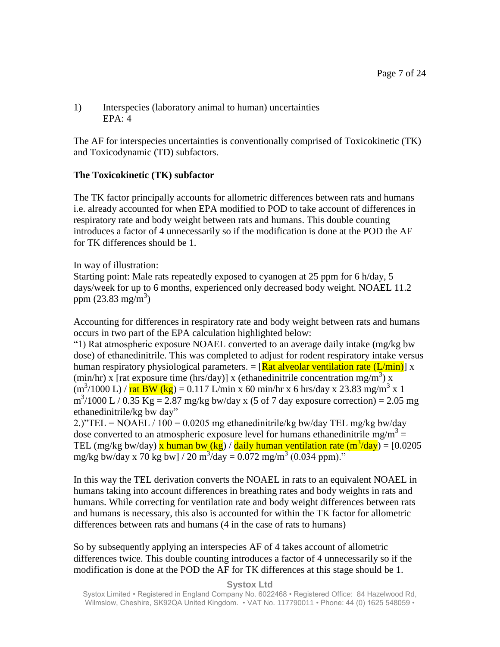## 1) Interspecies (laboratory animal to human) uncertainties EPA: 4

The AF for interspecies uncertainties is conventionally comprised of Toxicokinetic (TK) and Toxicodynamic (TD) subfactors.

# **The Toxicokinetic (TK) subfactor**

The TK factor principally accounts for allometric differences between rats and humans i.e. already accounted for when EPA modified to POD to take account of differences in respiratory rate and body weight between rats and humans. This double counting introduces a factor of 4 unnecessarily so if the modification is done at the POD the AF for TK differences should be 1.

In way of illustration:

Starting point: Male rats repeatedly exposed to cyanogen at 25 ppm for 6 h/day, 5 days/week for up to 6 months, experienced only decreased body weight. NOAEL 11.2 ppm  $(23.83 \text{ mg/m}^3)$ 

Accounting for differences in respiratory rate and body weight between rats and humans occurs in two part of the EPA calculation highlighted below:

"1) Rat atmospheric exposure NOAEL converted to an average daily intake (mg/kg bw dose) of ethanedinitrile. This was completed to adjust for rodent respiratory intake versus human respiratory physiological parameters.  $=$  [Rat alveolar ventilation rate (L/min)] x (min/hr) x [rat exposure time (hrs/day)] x (ethanedinitrile concentration mg/m<sup>3</sup>) x  $(m^3/1000 \text{ L}) / \text{rat } BW$  (kg) = 0.117 L/min x 60 min/hr x 6 hrs/day x 23.83 mg/m<sup>3</sup> x 1  $m^3/1000$  L / 0.35 Kg = 2.87 mg/kg bw/day x (5 of 7 day exposure correction) = 2.05 mg ethanedinitrile/kg bw day"

2.)"TEL = NOAEL / 100 = 0.0205 mg ethanedinitrile/kg bw/day TEL mg/kg bw/day dose converted to an atmospheric exposure level for humans ethanedinitrile mg/m<sup>3</sup> = TEL (mg/kg bw/day)  $\bar{x}$  human bw (kg) / daily human ventilation rate (m<sup>3</sup>/day) = [0.0205 mg/kg bw/day x 70 kg bw] / 20 m<sup>3</sup>/day = 0.072 mg/m<sup>3</sup> (0.034 ppm)."

In this way the TEL derivation converts the NOAEL in rats to an equivalent NOAEL in humans taking into account differences in breathing rates and body weights in rats and humans. While correcting for ventilation rate and body weight differences between rats and humans is necessary, this also is accounted for within the TK factor for allometric differences between rats and humans (4 in the case of rats to humans)

So by subsequently applying an interspecies AF of 4 takes account of allometric differences twice. This double counting introduces a factor of 4 unnecessarily so if the modification is done at the POD the AF for TK differences at this stage should be 1.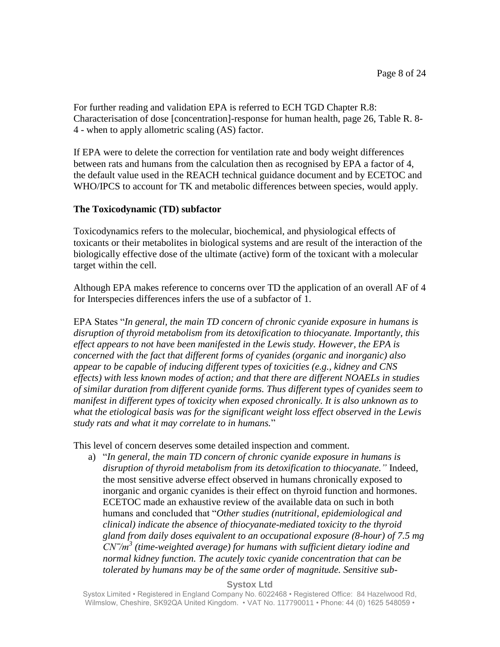For further reading and validation EPA is referred to ECH TGD Chapter R.8: Characterisation of dose [concentration]-response for human health, page 26, Table R. 8- 4 - when to apply allometric scaling (AS) factor.

If EPA were to delete the correction for ventilation rate and body weight differences between rats and humans from the calculation then as recognised by EPA a factor of 4, the default value used in the REACH technical guidance document and by ECETOC and WHO/IPCS to account for TK and metabolic differences between species, would apply.

## **The Toxicodynamic (TD) subfactor**

Toxicodynamics refers to the molecular, biochemical, and physiological effects of toxicants or their metabolites in biological systems and are result of the interaction of the biologically effective dose of the ultimate (active) form of the toxicant with a molecular target within the cell.

Although EPA makes reference to concerns over TD the application of an overall AF of 4 for Interspecies differences infers the use of a subfactor of 1.

EPA States "*In general, the main TD concern of chronic cyanide exposure in humans is disruption of thyroid metabolism from its detoxification to thiocyanate. Importantly, this effect appears to not have been manifested in the Lewis study. However, the EPA is concerned with the fact that different forms of cyanides (organic and inorganic) also appear to be capable of inducing different types of toxicities (e.g., kidney and CNS effects) with less known modes of action; and that there are different NOAELs in studies of similar duration from different cyanide forms. Thus different types of cyanides seem to manifest in different types of toxicity when exposed chronically. It is also unknown as to what the etiological basis was for the significant weight loss effect observed in the Lewis study rats and what it may correlate to in humans.*"

This level of concern deserves some detailed inspection and comment.

a) "*In general, the main TD concern of chronic cyanide exposure in humans is disruption of thyroid metabolism from its detoxification to thiocyanate."* Indeed, the most sensitive adverse effect observed in humans chronically exposed to inorganic and organic cyanides is their effect on thyroid function and hormones. ECETOC made an exhaustive review of the available data on such in both humans and concluded that "*Other studies (nutritional, epidemiological and clinical) indicate the absence of thiocyanate-mediated toxicity to the thyroid gland from daily doses equivalent to an occupational exposure (8-hour) of 7.5 mg CN‾/m<sup>3</sup> (time-weighted average) for humans with sufficient dietary iodine and normal kidney function. The acutely toxic cyanide concentration that can be tolerated by humans may be of the same order of magnitude. Sensitive sub-*

**Systox Ltd**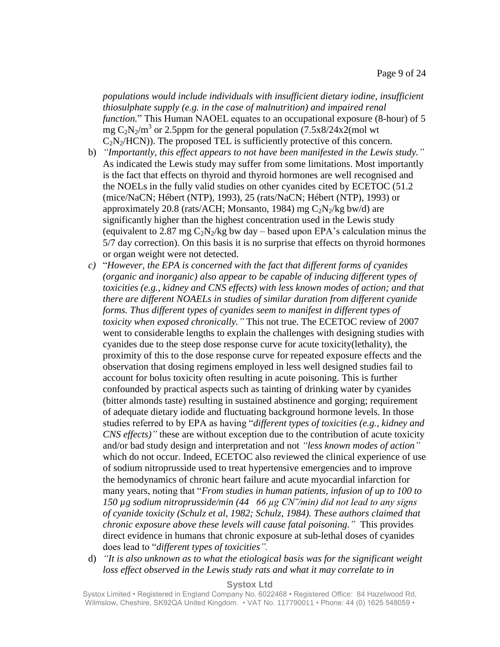*populations would include individuals with insufficient dietary iodine, insufficient thiosulphate supply (e.g. in the case of malnutrition) and impaired renal function.*" This Human NAOEL equates to an occupational exposure (8-hour) of 5 mg  $C_2N_2/m^3$  or 2.5ppm for the general population (7.5x8/24x2(mol wt)  $C_2N_2/HCN$ ). The proposed TEL is sufficiently protective of this concern.

- b) *"Importantly, this effect appears to not have been manifested in the Lewis study."*  As indicated the Lewis study may suffer from some limitations. Most importantly is the fact that effects on thyroid and thyroid hormones are well recognised and the NOELs in the fully valid studies on other cyanides cited by ECETOC (51.2 (mice/NaCN; Hébert (NTP), 1993), 25 (rats/NaCN; Hébert (NTP), 1993) or approximately 20.8 (rats/ACH; Monsanto, 1984) mg  $C_2N_2/kg$  bw/d) are significantly higher than the highest concentration used in the Lewis study (equivalent to 2.87 mg  $C_2N_2/kg$  bw day – based upon EPA's calculation minus the 5/7 day correction). On this basis it is no surprise that effects on thyroid hormones or organ weight were not detected.
- *c)* "*However, the EPA is concerned with the fact that different forms of cyanides (organic and inorganic) also appear to be capable of inducing different types of toxicities (e.g., kidney and CNS effects) with less known modes of action; and that there are different NOAELs in studies of similar duration from different cyanide forms. Thus different types of cyanides seem to manifest in different types of toxicity when exposed chronically."* This not true. The ECETOC review of 2007 went to considerable lengths to explain the challenges with designing studies with cyanides due to the steep dose response curve for acute toxicity(lethality), the proximity of this to the dose response curve for repeated exposure effects and the observation that dosing regimens employed in less well designed studies fail to account for bolus toxicity often resulting in acute poisoning. This is further confounded by practical aspects such as tainting of drinking water by cyanides (bitter almonds taste) resulting in sustained abstinence and gorging; requirement of adequate dietary iodide and fluctuating background hormone levels. In those studies referred to by EPA as having "*different types of toxicities (e.g., kidney and CNS effects)"* these are without exception due to the contribution of acute toxicity and/or bad study design and interpretation and not *"less known modes of action"*  which do not occur. Indeed, ECETOC also reviewed the clinical experience of use of sodium nitroprusside used to treat hypertensive emergencies and to improve the hemodynamics of chronic heart failure and acute myocardial infarction for many years, noting that "*From studies in human patients, infusion of up to 100 to 150 µg sodium nitroprusside/min (44 66 µg CN‾/min) did not lead to any signs of cyanide toxicity (Schulz et al, 1982; Schulz, 1984). These authors claimed that chronic exposure above these levels will cause fatal poisoning."* This provides direct evidence in humans that chronic exposure at sub-lethal doses of cyanides does lead to "*different types of toxicities".*
- d) *"It is also unknown as to what the etiological basis was for the significant weight*  loss effect observed in the Lewis study rats and what it may correlate to in

### **Systox Ltd**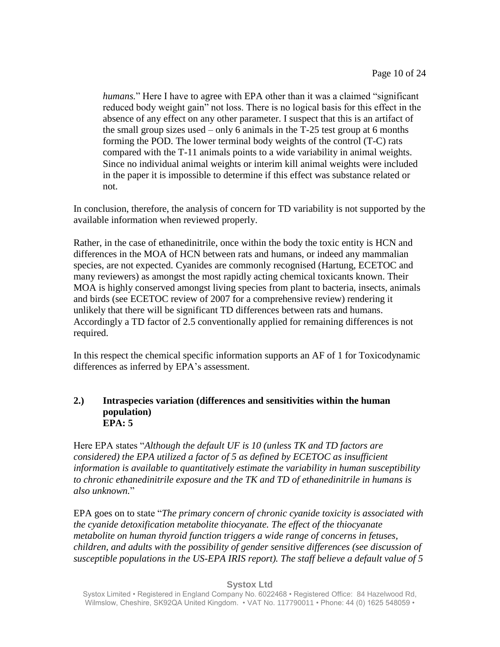*humans.*" Here I have to agree with EPA other than it was a claimed "significant reduced body weight gain" not loss. There is no logical basis for this effect in the absence of any effect on any other parameter. I suspect that this is an artifact of the small group sizes used – only 6 animals in the T-25 test group at 6 months forming the POD. The lower terminal body weights of the control (T-C) rats compared with the T-11 animals points to a wide variability in animal weights. Since no individual animal weights or interim kill animal weights were included in the paper it is impossible to determine if this effect was substance related or not.

In conclusion, therefore, the analysis of concern for TD variability is not supported by the available information when reviewed properly.

Rather, in the case of ethanedinitrile, once within the body the toxic entity is HCN and differences in the MOA of HCN between rats and humans, or indeed any mammalian species, are not expected. Cyanides are commonly recognised (Hartung, ECETOC and many reviewers) as amongst the most rapidly acting chemical toxicants known. Their MOA is highly conserved amongst living species from plant to bacteria, insects, animals and birds (see ECETOC review of 2007 for a comprehensive review) rendering it unlikely that there will be significant TD differences between rats and humans. Accordingly a TD factor of 2.5 conventionally applied for remaining differences is not required.

In this respect the chemical specific information supports an AF of 1 for Toxicodynamic differences as inferred by EPA's assessment.

## **2.) Intraspecies variation (differences and sensitivities within the human population) EPA: 5**

Here EPA states "*Although the default UF is 10 (unless TK and TD factors are considered) the EPA utilized a factor of 5 as defined by ECETOC as insufficient information is available to quantitatively estimate the variability in human susceptibility to chronic ethanedinitrile exposure and the TK and TD of ethanedinitrile in humans is also unknown.*"

EPA goes on to state "*The primary concern of chronic cyanide toxicity is associated with the cyanide detoxification metabolite thiocyanate. The effect of the thiocyanate metabolite on human thyroid function triggers a wide range of concerns in fetuses, children, and adults with the possibility of gender sensitive differences (see discussion of susceptible populations in the US-EPA IRIS report). The staff believe a default value of 5* 

### **Systox Ltd**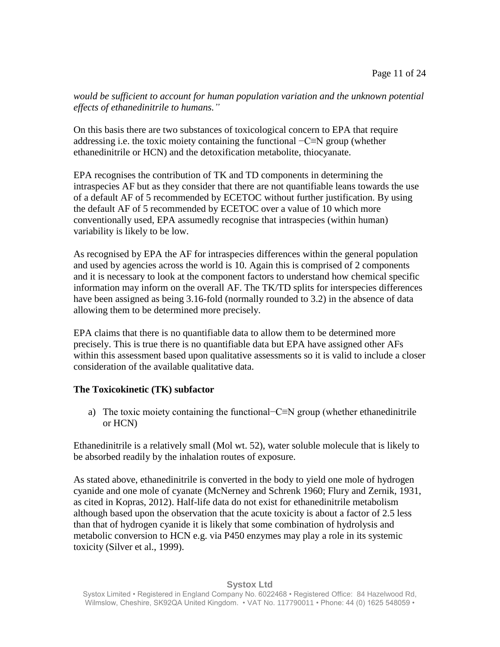*would be sufficient to account for human population variation and the unknown potential effects of ethanedinitrile to humans."*

On this basis there are two substances of toxicological concern to EPA that require addressing i.e. the toxic moiety containing the functional −C≡N group (whether ethanedinitrile or HCN) and the detoxification metabolite, thiocyanate.

EPA recognises the contribution of TK and TD components in determining the intraspecies AF but as they consider that there are not quantifiable leans towards the use of a default AF of 5 recommended by ECETOC without further justification. By using the default AF of 5 recommended by ECETOC over a value of 10 which more conventionally used, EPA assumedly recognise that intraspecies (within human) variability is likely to be low.

As recognised by EPA the AF for intraspecies differences within the general population and used by agencies across the world is 10. Again this is comprised of 2 components and it is necessary to look at the component factors to understand how chemical specific information may inform on the overall AF. The TK/TD splits for interspecies differences have been assigned as being 3.16-fold (normally rounded to 3.2) in the absence of data allowing them to be determined more precisely.

EPA claims that there is no quantifiable data to allow them to be determined more precisely. This is true there is no quantifiable data but EPA have assigned other AFs within this assessment based upon qualitative assessments so it is valid to include a closer consideration of the available qualitative data.

# **The Toxicokinetic (TK) subfactor**

a) The toxic moiety containing the functional−C≡N group (whether ethanedinitrile or HCN)

Ethanedinitrile is a relatively small (Mol wt. 52), water soluble molecule that is likely to be absorbed readily by the inhalation routes of exposure.

As stated above, ethanedinitrile is converted in the body to yield one mole of hydrogen cyanide and one mole of cyanate (McNerney and Schrenk 1960; Flury and Zernik, 1931, as cited in Kopras, 2012). Half-life data do not exist for ethanedinitrile metabolism although based upon the observation that the acute toxicity is about a factor of 2.5 less than that of hydrogen cyanide it is likely that some combination of hydrolysis and metabolic conversion to HCN e.g. via P450 enzymes may play a role in its systemic toxicity (Silver et al., 1999).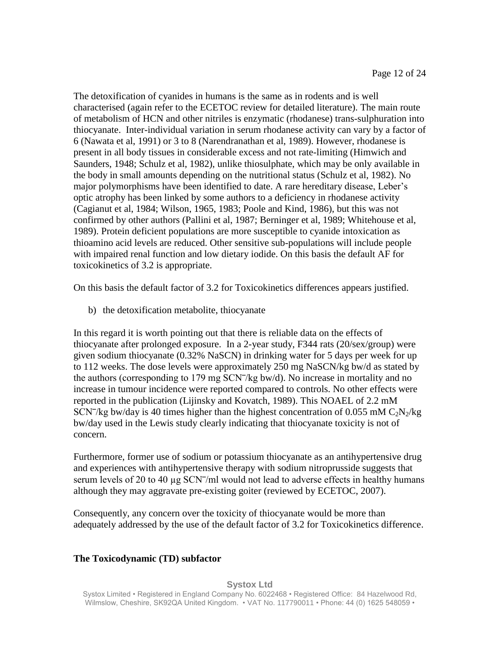The detoxification of cyanides in humans is the same as in rodents and is well characterised (again refer to the ECETOC review for detailed literature). The main route of metabolism of HCN and other nitriles is enzymatic (rhodanese) trans-sulphuration into thiocyanate. Inter-individual variation in serum rhodanese activity can vary by a factor of 6 (Nawata et al, 1991) or 3 to 8 (Narendranathan et al, 1989). However, rhodanese is present in all body tissues in considerable excess and not rate-limiting (Himwich and Saunders, 1948; Schulz et al, 1982), unlike thiosulphate, which may be only available in the body in small amounts depending on the nutritional status (Schulz et al, 1982). No major polymorphisms have been identified to date. A rare hereditary disease, Leber's optic atrophy has been linked by some authors to a deficiency in rhodanese activity (Cagianut et al, 1984; Wilson, 1965, 1983; Poole and Kind, 1986), but this was not confirmed by other authors (Pallini et al, 1987; Berninger et al, 1989; Whitehouse et al, 1989). Protein deficient populations are more susceptible to cyanide intoxication as thioamino acid levels are reduced. Other sensitive sub-populations will include people with impaired renal function and low dietary iodide. On this basis the default AF for toxicokinetics of 3.2 is appropriate.

On this basis the default factor of 3.2 for Toxicokinetics differences appears justified.

b) the detoxification metabolite, thiocyanate

In this regard it is worth pointing out that there is reliable data on the effects of thiocyanate after prolonged exposure. In a 2-year study, F344 rats (20/sex/group) were given sodium thiocyanate (0.32% NaSCN) in drinking water for 5 days per week for up to 112 weeks. The dose levels were approximately 250 mg NaSCN/kg bw/d as stated by the authors (corresponding to  $179 \text{ mg }$  SCN $\frac{7}{kg}$  bw/d). No increase in mortality and no increase in tumour incidence were reported compared to controls. No other effects were reported in the publication (Lijinsky and Kovatch, 1989). This NOAEL of 2.2 mM SCN<sup>-</sup>/kg bw/day is 40 times higher than the highest concentration of 0.055 mM  $C_2N_2/kg$ bw/day used in the Lewis study clearly indicating that thiocyanate toxicity is not of concern.

Furthermore, former use of sodium or potassium thiocyanate as an antihypertensive drug and experiences with antihypertensive therapy with sodium nitroprusside suggests that serum levels of 20 to 40  $\mu$ g SCN $^{\prime}$ /ml would not lead to adverse effects in healthy humans although they may aggravate pre-existing goiter (reviewed by ECETOC, 2007).

Consequently, any concern over the toxicity of thiocyanate would be more than adequately addressed by the use of the default factor of 3.2 for Toxicokinetics difference.

## **The Toxicodynamic (TD) subfactor**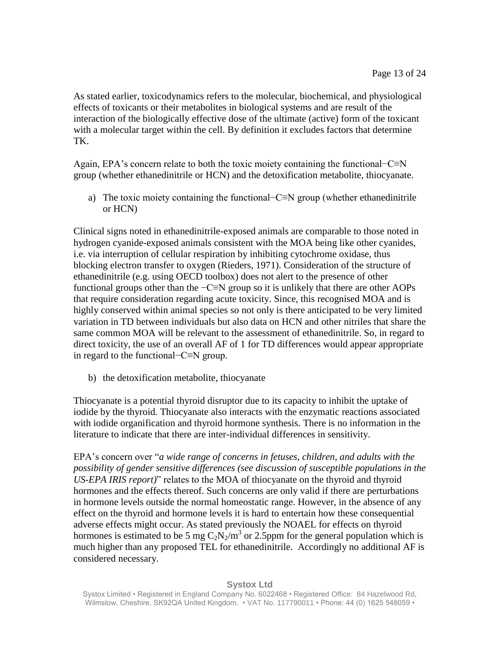As stated earlier, toxicodynamics refers to the molecular, biochemical, and physiological effects of toxicants or their metabolites in biological systems and are result of the interaction of the biologically effective dose of the ultimate (active) form of the toxicant with a molecular target within the cell. By definition it excludes factors that determine TK.

Again, EPA's concern relate to both the toxic moiety containing the functional−C≡N group (whether ethanedinitrile or HCN) and the detoxification metabolite, thiocyanate.

a) The toxic moiety containing the functional−C≡N group (whether ethanedinitrile or HCN)

Clinical signs noted in ethanedinitrile-exposed animals are comparable to those noted in hydrogen cyanide-exposed animals consistent with the MOA being like other cyanides, i.e. via interruption of cellular respiration by inhibiting cytochrome oxidase, thus blocking electron transfer to oxygen (Rieders, 1971). Consideration of the structure of ethanedinitrile (e.g. using OECD toolbox) does not alert to the presence of other functional groups other than the −C≡N group so it is unlikely that there are other AOPs that require consideration regarding acute toxicity. Since, this recognised MOA and is highly conserved within animal species so not only is there anticipated to be very limited variation in TD between individuals but also data on HCN and other nitriles that share the same common MOA will be relevant to the assessment of ethanedinitrile. So, in regard to direct toxicity, the use of an overall AF of 1 for TD differences would appear appropriate in regard to the functional−C≡N group.

b) the detoxification metabolite, thiocyanate

Thiocyanate is a potential thyroid disruptor due to its capacity to inhibit the uptake of iodide by the thyroid. Thiocyanate also interacts with the enzymatic reactions associated with iodide organification and thyroid hormone synthesis. There is no information in the literature to indicate that there are inter-individual differences in sensitivity.

EPA's concern over "*a wide range of concerns in fetuses, children, and adults with the possibility of gender sensitive differences (see discussion of susceptible populations in the US-EPA IRIS report)*" relates to the MOA of thiocyanate on the thyroid and thyroid hormones and the effects thereof. Such concerns are only valid if there are perturbations in hormone levels outside the normal homeostatic range. However, in the absence of any effect on the thyroid and hormone levels it is hard to entertain how these consequential adverse effects might occur. As stated previously the NOAEL for effects on thyroid hormones is estimated to be 5 mg  $C_2N_2/m^3$  or 2.5ppm for the general population which is much higher than any proposed TEL for ethanedinitrile. Accordingly no additional AF is considered necessary.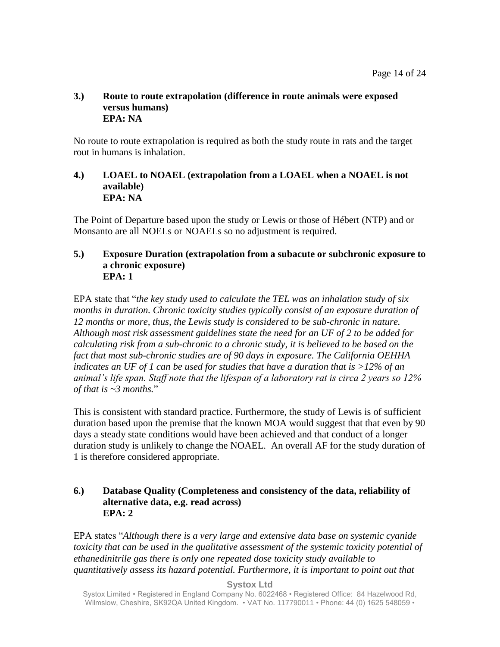## **3.) Route to route extrapolation (difference in route animals were exposed versus humans) EPA: NA**

No route to route extrapolation is required as both the study route in rats and the target rout in humans is inhalation.

## **4.) LOAEL to NOAEL (extrapolation from a LOAEL when a NOAEL is not available) EPA: NA**

The Point of Departure based upon the study or Lewis or those of Hébert (NTP) and or Monsanto are all NOELs or NOAELs so no adjustment is required.

### **5.) Exposure Duration (extrapolation from a subacute or subchronic exposure to a chronic exposure) EPA: 1**

EPA state that "*the key study used to calculate the TEL was an inhalation study of six months in duration. Chronic toxicity studies typically consist of an exposure duration of 12 months or more, thus, the Lewis study is considered to be sub-chronic in nature. Although most risk assessment guidelines state the need for an UF of 2 to be added for calculating risk from a sub-chronic to a chronic study, it is believed to be based on the fact that most sub-chronic studies are of 90 days in exposure. The California OEHHA indicates an UF of 1 can be used for studies that have a duration that is >12% of an animal's life span. Staff note that the lifespan of a laboratory rat is circa 2 years so 12% of that is ~3 months.*"

This is consistent with standard practice. Furthermore, the study of Lewis is of sufficient duration based upon the premise that the known MOA would suggest that that even by 90 days a steady state conditions would have been achieved and that conduct of a longer duration study is unlikely to change the NOAEL. An overall AF for the study duration of 1 is therefore considered appropriate.

## **6.) Database Quality (Completeness and consistency of the data, reliability of alternative data, e.g. read across) EPA: 2**

EPA states "*Although there is a very large and extensive data base on systemic cyanide toxicity that can be used in the qualitative assessment of the systemic toxicity potential of ethanedinitrile gas there is only one repeated dose toxicity study available to quantitatively assess its hazard potential. Furthermore, it is important to point out that* 

**Systox Ltd**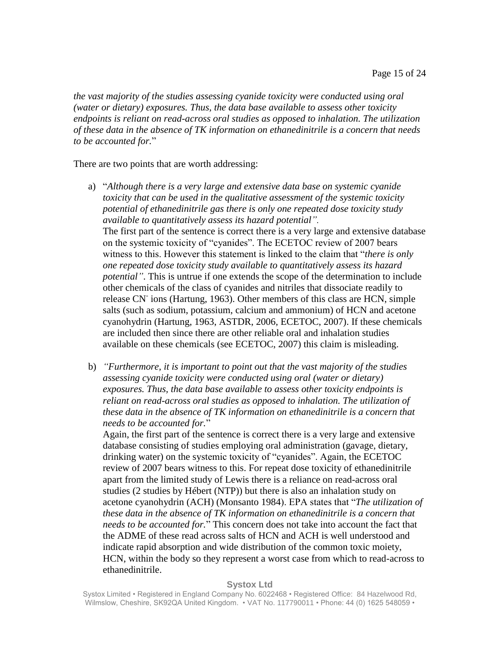*the vast majority of the studies assessing cyanide toxicity were conducted using oral (water or dietary) exposures. Thus, the data base available to assess other toxicity endpoints is reliant on read-across oral studies as opposed to inhalation. The utilization of these data in the absence of TK information on ethanedinitrile is a concern that needs to be accounted for.*"

There are two points that are worth addressing:

- a) "*Although there is a very large and extensive data base on systemic cyanide toxicity that can be used in the qualitative assessment of the systemic toxicity potential of ethanedinitrile gas there is only one repeated dose toxicity study available to quantitatively assess its hazard potential".* The first part of the sentence is correct there is a very large and extensive database on the systemic toxicity of "cyanides". The ECETOC review of 2007 bears witness to this. However this statement is linked to the claim that "*there is only one repeated dose toxicity study available to quantitatively assess its hazard potential"*. This is untrue if one extends the scope of the determination to include other chemicals of the class of cyanides and nitriles that dissociate readily to release CN<sup>-</sup>ions (Hartung, 1963). Other members of this class are HCN, simple salts (such as sodium, potassium, calcium and ammonium) of HCN and acetone cyanohydrin (Hartung, 1963, ASTDR, 2006, ECETOC, 2007). If these chemicals are included then since there are other reliable oral and inhalation studies available on these chemicals (see ECETOC, 2007) this claim is misleading.
- b) *"Furthermore, it is important to point out that the vast majority of the studies assessing cyanide toxicity were conducted using oral (water or dietary) exposures. Thus, the data base available to assess other toxicity endpoints is reliant on read-across oral studies as opposed to inhalation. The utilization of these data in the absence of TK information on ethanedinitrile is a concern that needs to be accounted for.*"

Again, the first part of the sentence is correct there is a very large and extensive database consisting of studies employing oral administration (gavage, dietary, drinking water) on the systemic toxicity of "cyanides". Again, the ECETOC review of 2007 bears witness to this. For repeat dose toxicity of ethanedinitrile apart from the limited study of Lewis there is a reliance on read-across oral studies (2 studies by Hébert (NTP)) but there is also an inhalation study on acetone cyanohydrin (ACH) (Monsanto 1984). EPA states that "*The utilization of these data in the absence of TK information on ethanedinitrile is a concern that needs to be accounted for.*" This concern does not take into account the fact that the ADME of these read across salts of HCN and ACH is well understood and indicate rapid absorption and wide distribution of the common toxic moiety, HCN, within the body so they represent a worst case from which to read-across to ethanedinitrile.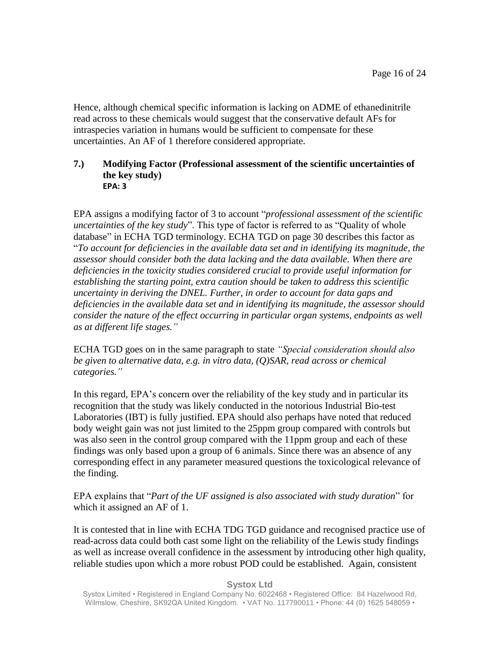Hence, although chemical specific information is lacking on ADME of ethanedinitrile read across to these chemicals would suggest that the conservative default AFs for intraspecies variation in humans would be sufficient to compensate for these uncertainties. An AF of 1 therefore considered appropriate.

### **7.) Modifying Factor (Professional assessment of the scientific uncertainties of the key study) EPA: 3**

EPA assigns a modifying factor of 3 to account "*professional assessment of the scientific uncertainties of the key study*". This type of factor is referred to as "Quality of whole database" in ECHA TGD terminology. ECHA TGD on page 30 describes this factor as "*To account for deficiencies in the available data set and in identifying its magnitude, the assessor should consider both the data lacking and the data available. When there are deficiencies in the toxicity studies considered crucial to provide useful information for establishing the starting point, extra caution should be taken to address this scientific uncertainty in deriving the DNEL. Further, in order to account for data gaps and deficiencies in the available data set and in identifying its magnitude, the assessor should consider the nature of the effect occurring in particular organ systems, endpoints as well as at different life stages."*

ECHA TGD goes on in the same paragraph to state *"Special consideration should also be given to alternative data, e.g. in vitro data, (Q)SAR, read across or chemical categories."*

In this regard, EPA's concern over the reliability of the key study and in particular its recognition that the study was likely conducted in the notorious Industrial Bio-test Laboratories (IBT) is fully justified. EPA should also perhaps have noted that reduced body weight gain was not just limited to the 25ppm group compared with controls but was also seen in the control group compared with the 11ppm group and each of these findings was only based upon a group of 6 animals. Since there was an absence of any corresponding effect in any parameter measured questions the toxicological relevance of the finding.

EPA explains that "*Part of the UF assigned is also associated with study duration*" for which it assigned an AF of 1.

It is contested that in line with ECHA TDG TGD guidance and recognised practice use of read-across data could both cast some light on the reliability of the Lewis study findings as well as increase overall confidence in the assessment by introducing other high quality, reliable studies upon which a more robust POD could be established. Again, consistent

#### **Systox Ltd**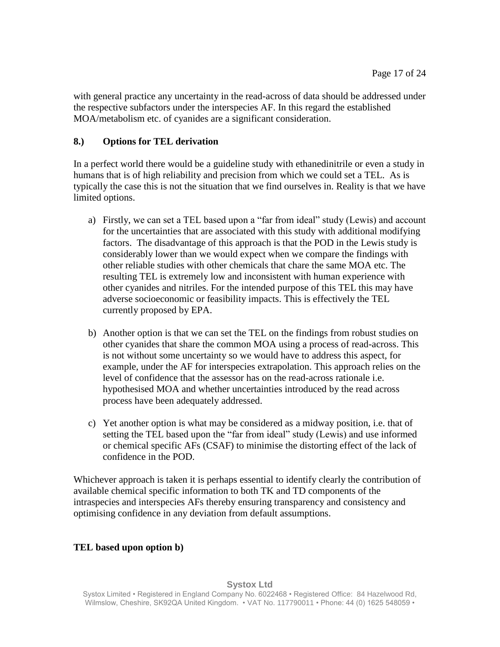with general practice any uncertainty in the read-across of data should be addressed under the respective subfactors under the interspecies AF. In this regard the established MOA/metabolism etc. of cyanides are a significant consideration.

# **8.) Options for TEL derivation**

In a perfect world there would be a guideline study with ethanedinitrile or even a study in humans that is of high reliability and precision from which we could set a TEL. As is typically the case this is not the situation that we find ourselves in. Reality is that we have limited options.

- a) Firstly, we can set a TEL based upon a "far from ideal" study (Lewis) and account for the uncertainties that are associated with this study with additional modifying factors. The disadvantage of this approach is that the POD in the Lewis study is considerably lower than we would expect when we compare the findings with other reliable studies with other chemicals that chare the same MOA etc. The resulting TEL is extremely low and inconsistent with human experience with other cyanides and nitriles. For the intended purpose of this TEL this may have adverse socioeconomic or feasibility impacts. This is effectively the TEL currently proposed by EPA.
- b) Another option is that we can set the TEL on the findings from robust studies on other cyanides that share the common MOA using a process of read-across. This is not without some uncertainty so we would have to address this aspect, for example, under the AF for interspecies extrapolation. This approach relies on the level of confidence that the assessor has on the read-across rationale i.e. hypothesised MOA and whether uncertainties introduced by the read across process have been adequately addressed.
- c) Yet another option is what may be considered as a midway position, i.e. that of setting the TEL based upon the "far from ideal" study (Lewis) and use informed or chemical specific AFs (CSAF) to minimise the distorting effect of the lack of confidence in the POD.

Whichever approach is taken it is perhaps essential to identify clearly the contribution of available chemical specific information to both TK and TD components of the intraspecies and interspecies AFs thereby ensuring transparency and consistency and optimising confidence in any deviation from default assumptions.

# **TEL based upon option b)**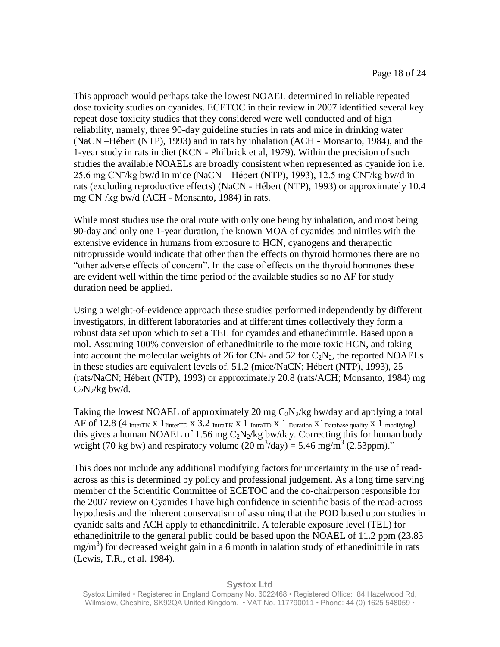This approach would perhaps take the lowest NOAEL determined in reliable repeated dose toxicity studies on cyanides. ECETOC in their review in 2007 identified several key repeat dose toxicity studies that they considered were well conducted and of high reliability, namely, three 90-day guideline studies in rats and mice in drinking water (NaCN –Hébert (NTP), 1993) and in rats by inhalation (ACH - Monsanto, 1984), and the 1-year study in rats in diet (KCN - Philbrick et al, 1979). Within the precision of such studies the available NOAELs are broadly consistent when represented as cyanide ion i.e. 25.6 mg CN $\pi$ /kg bw/d in mice (NaCN – Hébert (NTP), 1993), 12.5 mg CN $\pi$ /kg bw/d in rats (excluding reproductive effects) (NaCN - Hébert (NTP), 1993) or approximately 10.4 mg CN<sup>-</sup>/kg bw/d (ACH - Monsanto, 1984) in rats.

While most studies use the oral route with only one being by inhalation, and most being 90-day and only one 1-year duration, the known MOA of cyanides and nitriles with the extensive evidence in humans from exposure to HCN, cyanogens and therapeutic nitroprusside would indicate that other than the effects on thyroid hormones there are no "other adverse effects of concern". In the case of effects on the thyroid hormones these are evident well within the time period of the available studies so no AF for study duration need be applied.

Using a weight-of-evidence approach these studies performed independently by different investigators, in different laboratories and at different times collectively they form a robust data set upon which to set a TEL for cyanides and ethanedinitrile. Based upon a mol. Assuming 100% conversion of ethanedinitrile to the more toxic HCN, and taking into account the molecular weights of 26 for CN- and 52 for  $C_2N_2$ , the reported NOAELs in these studies are equivalent levels of. 51.2 (mice/NaCN; Hébert (NTP), 1993), 25 (rats/NaCN; Hébert (NTP), 1993) or approximately 20.8 (rats/ACH; Monsanto, 1984) mg  $C_2N_2/kg$  bw/d.

Taking the lowest NOAEL of approximately 20 mg  $C_2N_2/kg$  bw/day and applying a total AF of 12.8 (4 InterTK X 1 IinterTD X 3.2 IntraTK X 1 IntraTD X 1 Duration X 1 Database quality X 1 modifying) this gives a human NOAEL of 1.56 mg  $C_2N_2/kg$  bw/day. Correcting this for human body weight (70 kg bw) and respiratory volume  $(20 \text{ m}^3/\text{day}) = 5.46 \text{ mg/m}^3 (2.53 \text{ppm})$ ."

This does not include any additional modifying factors for uncertainty in the use of readacross as this is determined by policy and professional judgement. As a long time serving member of the Scientific Committee of ECETOC and the co-chairperson responsible for the 2007 review on Cyanides I have high confidence in scientific basis of the read-across hypothesis and the inherent conservatism of assuming that the POD based upon studies in cyanide salts and ACH apply to ethanedinitrile. A tolerable exposure level (TEL) for ethanedinitrile to the general public could be based upon the NOAEL of 11.2 ppm (23.83 mg/m<sup>3</sup>) for decreased weight gain in a 6 month inhalation study of ethanedinitrile in rats (Lewis, T.R., et al. 1984).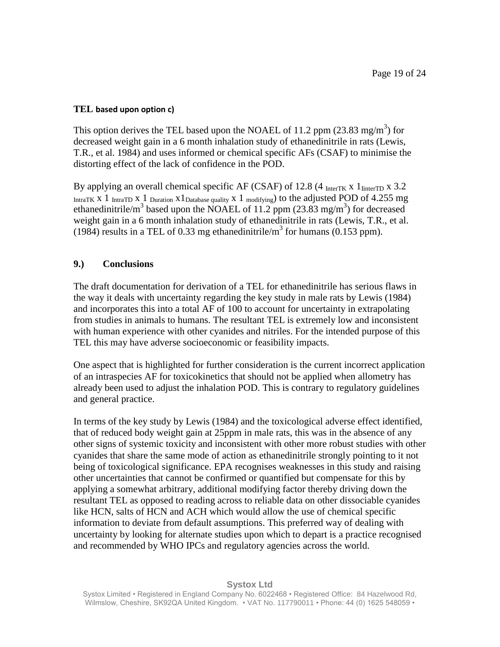## **TEL based upon option c)**

This option derives the TEL based upon the NOAEL of 11.2 ppm  $(23.83 \text{ mg/m}^3)$  for decreased weight gain in a 6 month inhalation study of ethanedinitrile in rats (Lewis, T.R., et al. 1984) and uses informed or chemical specific AFs (CSAF) to minimise the distorting effect of the lack of confidence in the POD.

By applying an overall chemical specific AF (CSAF) of 12.8 (4  $_{\text{InterTK}}$  x 1 $_{\text{InterTD}}$  x 3.2 IntraTK X 1 IntraTD X 1 Duration  $x1_{\text{Database quality}}$  x 1 modifying) to the adjusted POD of 4.255 mg ethanedinitrile/m<sup>3</sup> based upon the NOAEL of 11.2 ppm (23.83 mg/m<sup>3</sup>) for decreased weight gain in a 6 month inhalation study of ethanedinitrile in rats (Lewis, T.R., et al. (1984) results in a TEL of 0.33 mg ethanedinitrile/ $m<sup>3</sup>$  for humans (0.153 ppm).

## **9.) Conclusions**

The draft documentation for derivation of a TEL for ethanedinitrile has serious flaws in the way it deals with uncertainty regarding the key study in male rats by Lewis (1984) and incorporates this into a total AF of 100 to account for uncertainty in extrapolating from studies in animals to humans. The resultant TEL is extremely low and inconsistent with human experience with other cyanides and nitriles. For the intended purpose of this TEL this may have adverse socioeconomic or feasibility impacts.

One aspect that is highlighted for further consideration is the current incorrect application of an intraspecies AF for toxicokinetics that should not be applied when allometry has already been used to adjust the inhalation POD. This is contrary to regulatory guidelines and general practice.

In terms of the key study by Lewis (1984) and the toxicological adverse effect identified, that of reduced body weight gain at 25ppm in male rats, this was in the absence of any other signs of systemic toxicity and inconsistent with other more robust studies with other cyanides that share the same mode of action as ethanedinitrile strongly pointing to it not being of toxicological significance. EPA recognises weaknesses in this study and raising other uncertainties that cannot be confirmed or quantified but compensate for this by applying a somewhat arbitrary, additional modifying factor thereby driving down the resultant TEL as opposed to reading across to reliable data on other dissociable cyanides like HCN, salts of HCN and ACH which would allow the use of chemical specific information to deviate from default assumptions. This preferred way of dealing with uncertainty by looking for alternate studies upon which to depart is a practice recognised and recommended by WHO IPCs and regulatory agencies across the world.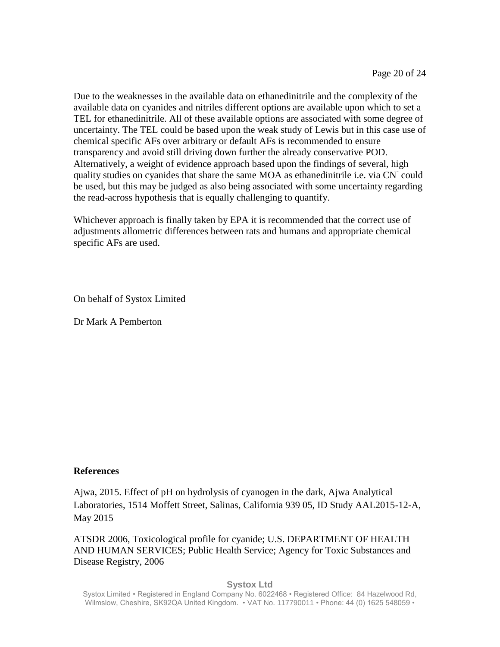Due to the weaknesses in the available data on ethanedinitrile and the complexity of the available data on cyanides and nitriles different options are available upon which to set a TEL for ethanedinitrile. All of these available options are associated with some degree of uncertainty. The TEL could be based upon the weak study of Lewis but in this case use of chemical specific AFs over arbitrary or default AFs is recommended to ensure transparency and avoid still driving down further the already conservative POD. Alternatively, a weight of evidence approach based upon the findings of several, high quality studies on cyanides that share the same MOA as ethanedinitrile i.e. via CN could be used, but this may be judged as also being associated with some uncertainty regarding the read-across hypothesis that is equally challenging to quantify.

Whichever approach is finally taken by EPA it is recommended that the correct use of adjustments allometric differences between rats and humans and appropriate chemical specific AFs are used.

On behalf of Systox Limited

Dr Mark A Pemberton

## **References**

Ajwa, 2015. Effect of pH on hydrolysis of cyanogen in the dark, Ajwa Analytical Laboratories, 1514 Moffett Street, Salinas, California 939 05, ID Study AAL2015-12-A, May 2015

ATSDR 2006, Toxicological profile for cyanide; U.S. DEPARTMENT OF HEALTH AND HUMAN SERVICES; Public Health Service; Agency for Toxic Substances and Disease Registry, 2006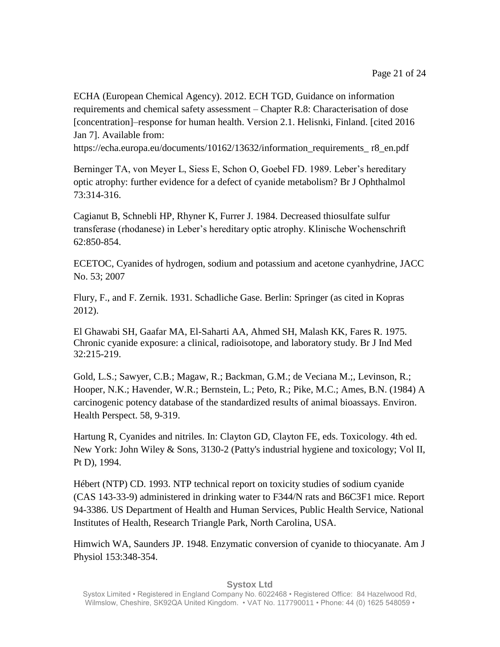ECHA (European Chemical Agency). 2012. ECH TGD, Guidance on information requirements and chemical safety assessment – Chapter R.8: Characterisation of dose [concentration]–response for human health. Version 2.1. Helisnki, Finland. [cited 2016 Jan 7]. Available from:

https://echa.europa.eu/documents/10162/13632/information\_requirements\_ r8\_en.pdf

Berninger TA, von Meyer L, Siess E, Schon O, Goebel FD. 1989. Leber's hereditary optic atrophy: further evidence for a defect of cyanide metabolism? Br J Ophthalmol 73:314-316.

Cagianut B, Schnebli HP, Rhyner K, Furrer J. 1984. Decreased thiosulfate sulfur transferase (rhodanese) in Leber's hereditary optic atrophy. Klinische Wochenschrift 62:850-854.

ECETOC, Cyanides of hydrogen, sodium and potassium and acetone cyanhydrine, JACC No. 53; 2007

Flury, F., and F. Zernik. 1931. Schadliche Gase. Berlin: Springer (as cited in Kopras 2012).

El Ghawabi SH, Gaafar MA, El-Saharti AA, Ahmed SH, Malash KK, Fares R. 1975. Chronic cyanide exposure: a clinical, radioisotope, and laboratory study. Br J Ind Med 32:215-219.

Gold, L.S.; Sawyer, C.B.; Magaw, R.; Backman, G.M.; de Veciana M.;, Levinson, R.; Hooper, N.K.; Havender, W.R.; Bernstein, L.; Peto, R.; Pike, M.C.; Ames, B.N. (1984) A carcinogenic potency database of the standardized results of animal bioassays. Environ. Health Perspect. 58, 9-319.

Hartung R, Cyanides and nitriles. In: Clayton GD, Clayton FE, eds. Toxicology. 4th ed. New York: John Wiley & Sons, 3130-2 (Patty's industrial hygiene and toxicology; Vol II, Pt D), 1994.

Hébert (NTP) CD. 1993. NTP technical report on toxicity studies of sodium cyanide (CAS 143-33-9) administered in drinking water to F344/N rats and B6C3F1 mice. Report 94-3386. US Department of Health and Human Services, Public Health Service, National Institutes of Health, Research Triangle Park, North Carolina, USA.

Himwich WA, Saunders JP. 1948. Enzymatic conversion of cyanide to thiocyanate. Am J Physiol 153:348-354.

#### **Systox Ltd**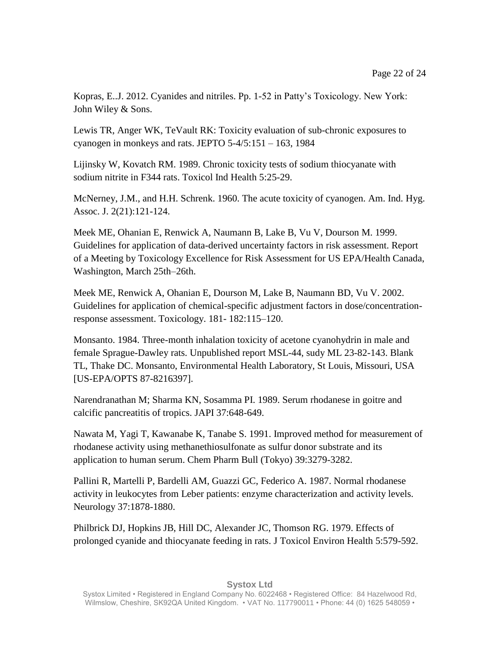Kopras, E..J. 2012. Cyanides and nitriles. Pp. 1-52 in Patty's Toxicology. New York: John Wiley & Sons.

Lewis TR, Anger WK, TeVault RK: Toxicity evaluation of sub-chronic exposures to cyanogen in monkeys and rats. JEPTO 5-4/5:151 – 163, 1984

Lijinsky W, Kovatch RM. 1989. Chronic toxicity tests of sodium thiocyanate with sodium nitrite in F344 rats. Toxicol Ind Health 5:25-29.

McNerney, J.M., and H.H. Schrenk. 1960. The acute toxicity of cyanogen. Am. Ind. Hyg. Assoc. J. 2(21):121-124.

Meek ME, Ohanian E, Renwick A, Naumann B, Lake B, Vu V, Dourson M. 1999. Guidelines for application of data-derived uncertainty factors in risk assessment. Report of a Meeting by Toxicology Excellence for Risk Assessment for US EPA/Health Canada, Washington, March 25th–26th.

Meek ME, Renwick A, Ohanian E, Dourson M, Lake B, Naumann BD, Vu V. 2002. Guidelines for application of chemical-specific adjustment factors in dose/concentrationresponse assessment. Toxicology. 181- 182:115–120.

Monsanto. 1984. Three-month inhalation toxicity of acetone cyanohydrin in male and female Sprague-Dawley rats. Unpublished report MSL-44, sudy ML 23-82-143. Blank TL, Thake DC. Monsanto, Environmental Health Laboratory, St Louis, Missouri, USA [US-EPA/OPTS 87-8216397].

Narendranathan M; Sharma KN, Sosamma PI. 1989. Serum rhodanese in goitre and calcific pancreatitis of tropics. JAPI 37:648-649.

Nawata M, Yagi T, Kawanabe K, Tanabe S. 1991. Improved method for measurement of rhodanese activity using methanethiosulfonate as sulfur donor substrate and its application to human serum. Chem Pharm Bull (Tokyo) 39:3279-3282.

Pallini R, Martelli P, Bardelli AM, Guazzi GC, Federico A. 1987. Normal rhodanese activity in leukocytes from Leber patients: enzyme characterization and activity levels. Neurology 37:1878-1880.

Philbrick DJ, Hopkins JB, Hill DC, Alexander JC, Thomson RG. 1979. Effects of prolonged cyanide and thiocyanate feeding in rats. J Toxicol Environ Health 5:579-592.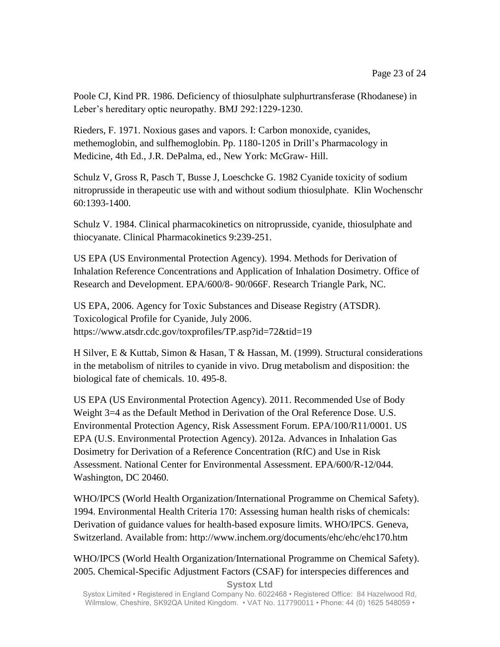Poole CJ, Kind PR. 1986. Deficiency of thiosulphate sulphurtransferase (Rhodanese) in Leber's hereditary optic neuropathy. BMJ 292:1229-1230.

Rieders, F. 1971. Noxious gases and vapors. I: Carbon monoxide, cyanides, methemoglobin, and sulfhemoglobin. Pp. 1180-1205 in Drill's Pharmacology in Medicine, 4th Ed., J.R. DePalma, ed., New York: McGraw- Hill.

Schulz V, Gross R, Pasch T, Busse J, Loeschcke G. 1982 Cyanide toxicity of sodium nitroprusside in therapeutic use with and without sodium thiosulphate. Klin Wochenschr 60:1393-1400.

Schulz V. 1984. Clinical pharmacokinetics on nitroprusside, cyanide, thiosulphate and thiocyanate. Clinical Pharmacokinetics 9:239-251.

US EPA (US Environmental Protection Agency). 1994. Methods for Derivation of Inhalation Reference Concentrations and Application of Inhalation Dosimetry. Office of Research and Development. EPA/600/8- 90/066F. Research Triangle Park, NC.

US EPA, 2006. Agency for Toxic Substances and Disease Registry (ATSDR). Toxicological Profile for Cyanide, July 2006. <https://www.atsdr.cdc.gov/toxprofiles/TP.asp?id=72&tid=19>

H Silver, E & Kuttab, Simon & Hasan, T & Hassan, M. (1999). Structural considerations in the metabolism of nitriles to cyanide in vivo. Drug metabolism and disposition: the biological fate of chemicals. 10. 495-8.

US EPA (US Environmental Protection Agency). 2011. Recommended Use of Body Weight 3=4 as the Default Method in Derivation of the Oral Reference Dose. U.S. Environmental Protection Agency, Risk Assessment Forum. EPA/100/R11/0001. US EPA (U.S. Environmental Protection Agency). 2012a. Advances in Inhalation Gas Dosimetry for Derivation of a Reference Concentration (RfC) and Use in Risk Assessment. National Center for Environmental Assessment. EPA/600/R-12/044. Washington, DC 20460.

WHO/IPCS (World Health Organization/International Programme on Chemical Safety). 1994. Environmental Health Criteria 170: Assessing human health risks of chemicals: Derivation of guidance values for health-based exposure limits. WHO/IPCS. Geneva, Switzerland. Available from: http://www.inchem.org/documents/ehc/ehc/ehc170.htm

WHO/IPCS (World Health Organization/International Programme on Chemical Safety). 2005. Chemical-Specific Adjustment Factors (CSAF) for interspecies differences and

**Systox Ltd**